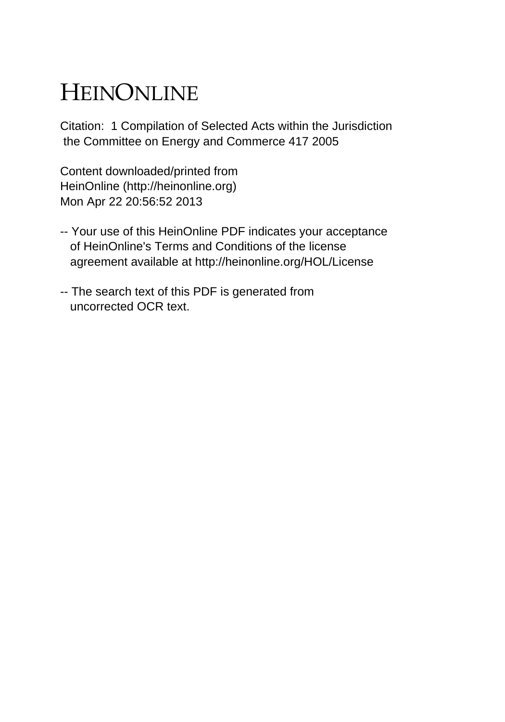# HEINONLINE

Citation: 1 Compilation of Selected Acts within the Jurisdiction the Committee on Energy and Commerce 417 2005

Content downloaded/printed from HeinOnline (http://heinonline.org) Mon Apr 22 20:56:52 2013

- -- Your use of this HeinOnline PDF indicates your acceptance of HeinOnline's Terms and Conditions of the license agreement available at http://heinonline.org/HOL/License
- -- The search text of this PDF is generated from uncorrected OCR text.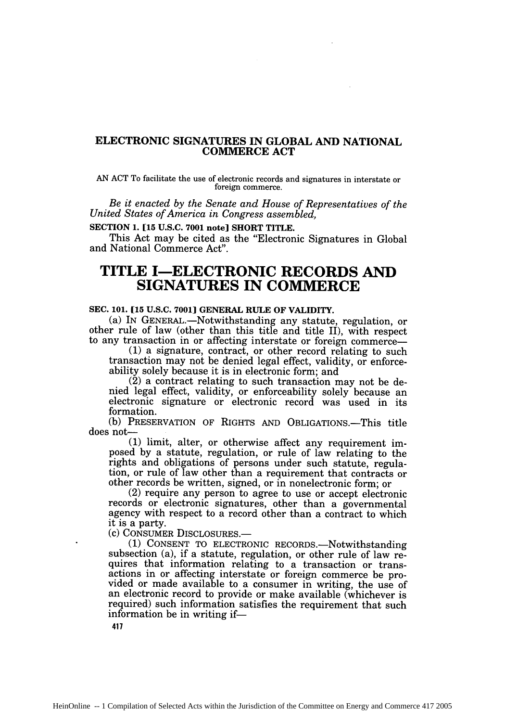## **ELECTRONIC SIGNATURES IN GLOBAL AND NATIONAL COMMERCE ACT**

AN ACT To facilitate the use of electronic records and signatures in interstate or foreign commerce.

*Be it enacted by the Senate and House of Representatives of the United States of America in Congress assembled,*

**SECTION 1. [15 U.S.C. 7001** note] **SHORT** TITLE.

This Act may be cited as the "Electronic Signatures in Global and National Commerce Act".

# **TITLE I-ELECTRONIC RECORDS AND SIGNATURES IN COMMERCE**

### **SEC. 101. [15 U.S.C. 7001] GENERAL RULE OF VALIDITY.**

**(a) IN GENERAL.-Notwithstanding any statute,** regulation, **or other rule of law (other than this title and title II), with respect to any transaction in or affecting interstate or foreign commerce-**

**(1) a signature, contract, or other record relating to such transaction may not be denied legal effect, validity, or enforceability solely because** it is in electronic form; and

(2) a contract relating to such transaction may not be denied legal effect, validity, or enforceability solely because an electronic signature or electronic record was used in its formation.

(b) PRESERVATION OF RIGHTS AND OBLIGATIONS.-This title does not-

**(1)** limit, alter, or otherwise affect any requirement imposed by a statute, regulation, or rule of law relating to the rights and obligations of persons under such statute, regula- tion, or rule of law other than a requirement that contracts or other records be written, signed, or in nonelectronic form; or

(2) require any person to agree to use or accept electronic records or electronic signatures, other than a governmental agency with respect to a record other than a contract to which it is a party.

**(c)** CONSUMER DISCLOSURES.-

**(1)** CONSENT TO ELECTRONIC RECORDS.-Notwithstanding subsection (a), if a statute, regulation, or other rule of law requires that information relating to a transaction or transactions in or affecting interstate or foreign commerce be provided or made available to a consumer in writing, the use of an electronic record to provide or make available (whichever is required) such information satisfies the requirement that such information be in writing if-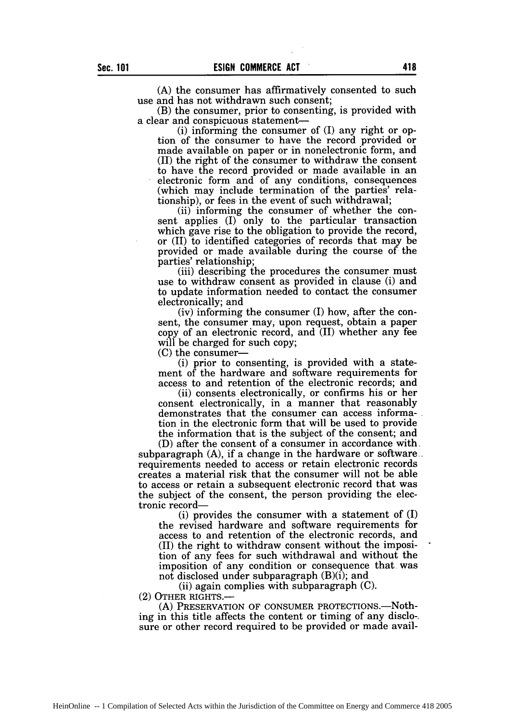(A) the consumer has affirmatively consented to such use and has not withdrawn such consent;

(B) the consumer, prior to consenting, is provided with a clear and conspicuous statement-

(i) informing the consumer of (I) any right or option of the consumer to have the record provided or made available on paper or in nonelectronic form, and (II) the right of the consumer to withdraw the consent to have the record provided or made available in an electronic form and of any conditions, consequences (which may include termination of the parties' relationship), or fees in the event of such withdrawal;

(ii) informing the consumer of whether the consent applies (I) only to the particular transaction which gave rise to the obligation to provide the record, or (II) to identified categories of records that may be provided or made available during the course of the parties' relationship;

(iii) describing the procedures the consumer must use to withdraw consent as provided in clause (i) and to update information needed to contact the consumer electronically; and

(iv) informing the consumer (I) how, after the consent, the consumer may, upon request, obtain a paper copy of an electronic record, and (II) whether any fee will be charged for such copy;

 $(C)$  the consumer-

(i) prior to consenting, is provided with a statement of the hardware and software requirements for access to and retention of the electronic records; and

(ii) consents electronically, or confirms his or her consent electronically, in a manner that reasonably demonstrates that the consumer can access information in the electronic form that will be used to provide the information that is the subject of the consent; and

(D) after the consent of a consumer in accordance with subparagraph (A), if a change in the hardware or software. requirements needed to access or retain electronic records creates a material risk that the consumer will not be able to access or retain a subsequent electronic record that was the subject of the consent, the person providing the electronic record-

(i) provides the consumer with a statement of (I) the revised hardware and software requirements for access to and retention of the electronic records, and (II) the right to withdraw consent without the imposition of any fees for such withdrawal and without the imposition of any condition or consequence that was not disclosed under subparagraph (B)(i); and

(ii) again complies with subparagraph (C).

(2) OTHER RIGHTS.-

(A) PRESERVATION OF CONSUMER PROTECTIONS.—Nothing in this title affects the content or timing of any disclosure or other record required to be provided or made avail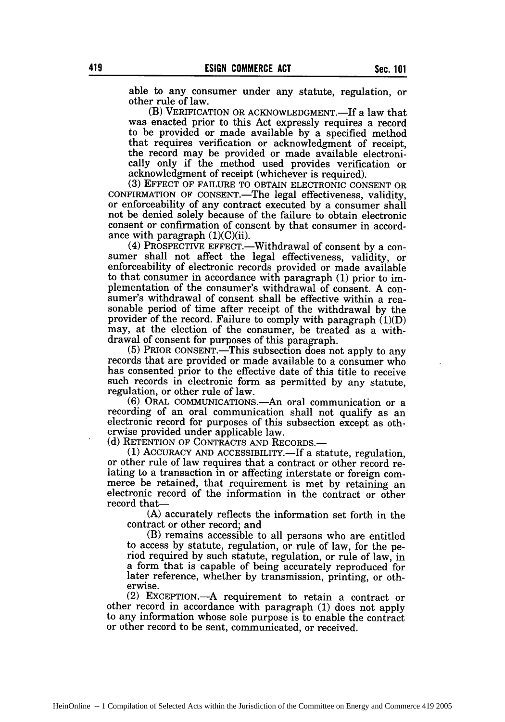able to any consumer under any statute, regulation, or other rule of law.

(B) VERIFICATION OR ACKNOWLEDGMENT.-If a law that was enacted prior to this Act expressly requires a record to be provided or made available by a specified method that requires verification or acknowledgment of receipt, the record may be provided or made available electronically only if the method used provides verification or acknowledgment of receipt (whichever is required).

(3) EFFECT OF FAILURE TO OBTAIN ELECTRONIC CONSENT OR CONFIRMATION OF CONSENT.—The legal effectiveness, validity, or enforceability of any contract executed by a consumer shall not be denied solely because of the failure to obtain electronic consent or confirmation of consent by that consumer in accordance with paragraph  $(1)(C)(ii)$ .

 $(4)$  PROSPECTIVE EFFECT.—Withdrawal of consent by a consumer shall not affect the legal effectiveness, validity, or enforceability of electronic records provided or made available to that consumer in accordance with paragraph (1) prior to implementation of the consumer's withdrawal of consent. A consumer's withdrawal of consent shall be effective within a reasonable period of time after receipt of the withdrawal by the provider of the record. Failure to comply with paragraph  $(1)(D)$ may, at the election of the consumer, be treated as a with-<br>drawal of consent for purposes of this paragraph.

 $(5)$  PRIOR CONSENT.—This subsection does not apply to any records that are provided or made available to a consumer who has consented prior to the effective date of this title to receive such records in electronic form as permitted by any statute, regulation, or other rule of law.

(6) ORAL COMMUNICATIONS.-An oral communication or a recording of an oral communication shall not qualify as an electronic record for purposes of this subsection except as otherwise provided under applicable law.

(d) RETENTION OF CONTRACTS AND RECORDS.-

(1) ACCURACY AND ACCESSIBILITY.-If a statute, regulation, or other rule of law requires that a contract or other record relating to a transaction in or affecting interstate or foreign commerce be retained, that requirement is met by retaining an electronic record of the information in the contract or other record that-

(A) accurately reflects the information set forth in the contract or other record; and

(B) remains accessible to all persons who are entitled to access by statute, regulation, or rule of law, for the period required by such statute, regulation, or rule of law, in a form that is capable of being accurately reproduced for later reference, whether by transmission, printing, or otherwise.

(2) EXCEPTION.-A requirement to retain a contract or other record in accordance with paragraph (1) does not apply to any information whose sole purpose is to enable the contract or other record to be sent, communicated, or received.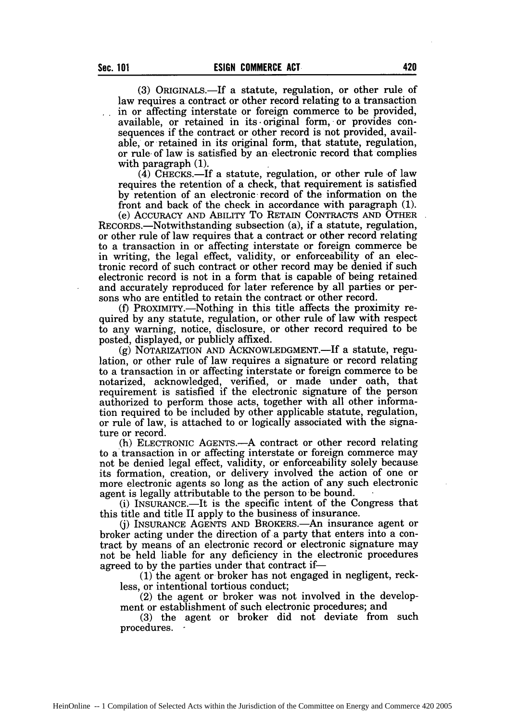(3) ORIGINALS.—If a statute, regulation, or other rule of law requires a contract or other record relating to a transaction in or affecting interstate or foreign commerce to be provided, available, or retained in its original form, or provides consequences if the contract or other record is not provided, available, or retained in its original form, that statute, regulation, or rule. of law is satisfied by an electronic record that complies with paragraph (1).

(4) CHECKS.-If a statute, regulation, or other rule of law requires the retention of a check, that requirement is satisfied by retention of an electronic record of the information on the front and back of the check in accordance with paragraph (1).

(e) ACCURACY AND ABILITY To RETAIN CONTRACTS AND OTHER RECORDS.—Notwithstanding subsection (a), if a statute, regulation, or other rule of law requires that a contract or other record relating to a transaction in or affecting interstate or foreign commerce be in writing, the legal effect, validity, or enforceability of an electronic record of such contract or other record may be denied if such electronic record is not in a form that is capable of being retained and accurately reproduced for later reference by all parties or persons who are entitled to retain the contract or other record.

**(f)** PROXIMITY.-Nothing in this title affects the proximity required by any statute, regulation, or other rule of law with respect to any warning, notice, disclosure, or other record required to be posted, displayed, or publicly affixed.

(g) NOTARIZATION AND ACKNOWLEDGMENT.—If a statute, regulation, or other rule of law requires a signature or record relating to a transaction in or affecting interstate or foreign commerce to be notarized, acknowledged, verified, or made under oath, that requirement is satisfied if the electronic signature of the person authorized to perform those acts, together with all other information required to be included by other applicable statute, regulation, or rule of law, is attached to or logically associated with the signature or record.

(h) ELECTRONIC AGENTS.-A contract or other record relating to a transaction in or affecting interstate or foreign commerce may not be denied legal effect, validity, or enforceability solely because its formation, creation, or delivery involved the action of one or more electronic agents so long as the action of any such electronic agent is legally attributable to the person to be bound.

(i) INSURANCE.-It is the specific intent of the Congress that this title and title II apply to the business of insurance.

(j) INSURANCE AGENTS AND BROKERS.—An insurance agent or broker acting under the direction of a party that enters into a contract by means of an electronic record or electronic signature may not be held liable for any deficiency in the electronic procedures agreed to by the parties under that contract if-

**(1)** the agent or broker has not engaged in negligent, reckless, or intentional tortious conduct;

(2) the agent or broker was not involved in the development or establishment of such electronic procedures; and

(3) the agent or broker did not deviate from such procedures.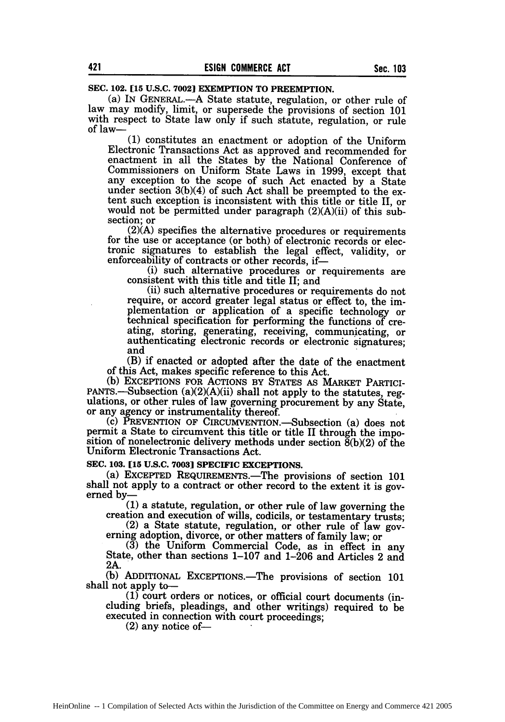#### **SEC. 102. [15 U.S.C. 70021 EXEMPTION TO PREEMPTION.**

(a) IN **GENERAL.-A** State statute, regulation, or other rule of law may modify, limit, or supersede the provisions of section 101 with respect to State law only if such statute, regulation, or rule of law-

**(1)** constitutes an enactment or adoption of the Uniform Electronic Transactions Act as approved and recommended for enactment in all the States by the National Conference of Commissioners on Uniform State Laws in 1999, except that any exception to the scope of such Act enacted by a State under section  $3(b)(4)$  of such Act shall be preempted to the extent such exception is inconsistent with this title or title II, or would not be permitted under paragraph (2)(A)(ii) of this subsection; or

 $(2)(A)$  specifies the alternative procedures or requirements for the use or acceptance (or both) of electronic records or electronic signatures to establish the legal effect, validity, or enforceability of contracts or other records, if-

(i) such alternative procedures or requirements are consistent with this title and title II; and

(ii) such alternative procedures or requirements do not require, or accord greater legal status or effect to, the implementation or application of a specific technology or technical specification for performing the functions of creating, storing, generating, receiving, communicating, or authenticating electronic records or electronic signatures; and

(B) if enacted or adopted after the date of the enactment of this Act, makes specific reference to this Act.

(b) EXCEPTIONS **FOR** ACTIONS BY **STATES AS** MARKET **PARTICI-**PANTS.—Subsection  $(a)(2)(A)(ii)$  shall not apply to the statutes, regulations, or other rules of law governing procurement by any State, or any agency or instrumentality thereof.

**(c) PREVENTION OF** CIRCUMVENTION.-Subsection (a) does not permit a State to circumvent this title or title II through the impo- sition of nonelectronic delivery methods under section 8(b)(2) of the Uniform Electronic Transactions Act.

#### **SEC. 103. [15 U.S.C. 70031 SPECIFIC EXCEPTIONS.**

**(a) EXCEPTED REQUIREMENTS.-The provisions of section 101** shall not apply to a contract or other record to the extent it is governed by-<br>(1) a statute, regulation, or other rule of law governing the

creation and execution of wills, codicils, or testamentary trusts;<br>(2) a State statute, regulation, or other rule of law gov-<br>erning adoption, divorce, or other matters of family law; or<br>(3) the Uniform Commercial Code, as

State, other than sections 1-107 and 1-206 and Articles 2 and **2A.**

(b) ADDITIONAL EXCEPTIONS.-The provisions of section **101** shall not apply to-

**(1)** court orders or notices, or official court documents (in- cluding briefs, pleadings, and other writings) required to be executed in connection with court proceedings;<br>(2) any notice of-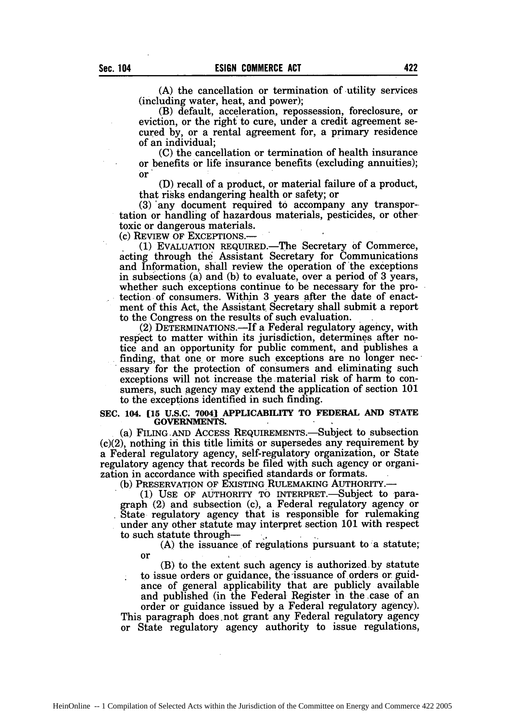**(A)** the cancellation or termination of utility services (including water, heat, and power);

(B) default, acceleration, repossession, foreclosure, or eviction, or the right to cure, under a credit agreement secured by, or a rental agreement for, a primary residence of an individual;

(C) the cancellation or termination of health insurance or benefits or life insurance benefits (excluding annuities); or

(D) recall of a product, or material failure of a product, that risks endangering health or safety; or

(3) 'any document required to accompany any transpor-. tation or handling of hazardous materials, pesticides, or other toxic or dangerous materials.

(c) REVIEW OF EXCEPTIONS.-

(1) EVALUATION REQUIRED.-The Secretary of Commerce, acting through the Assistant Secretary for Communications and Information, shall review the operation of 'the exceptions in subsections (a) and (b) to evaluate, over a period of 3 years, whether such exceptions continue to be necessary for the protection. of consumers. Within 3 years after the date of enactment of this Act, the Assistant. Secretary shall submit a report to the Congress on the results of such evaluation.

(2) DETERMINATIONS.-If a Federal regulatory agency, with respect to matter within its jurisdiction, determines after notice and an opportunity for public comment, and publishes a finding, that one or more such exceptions are no longer necessary for the protection of consumers and eliminating such exceptions will not increase the material risk of harm to consumers, such agency may extend the application of section 101 to the exceptions identified in such finding.

#### **SEC.** 104. **[15 U.S.C. 70041 APPLICABILITY TO FEDERAL AND STATE GOVERNMENTS.**

(a) FILING AND ACCESS REQUIREMENTS.—Subject to subsection (c)(2), nothing in this title limits or supersedes any requirement **by** a Federal regulatory agency, self-regulatory organization, or State regulatory agency that records be filed with such agency or organization in accordance with specified standards or formats.

(b) PRESERVATION OF EXISTING RULEMAKING AUTHORITY.-

**(1) USE** OF AUTHORITY TO INTERPRET.-Subject to paragraph (2) and subsection (c), a Federal regulatory agency or State regulatory agency that is responsible for rulemaking under any other statute may interpret section 101 with respect to such statute through-

(A) the issuance of regulations pursuant to a statute; or

(B) to the extent such agency is authorized by statute to issue orders or guidance, the issuance of orders or guidance of general applicability that are publicly available and published (in the Federal Register in the .case of an order or guidance issued by a Federal regulatory agency).

This paragraph does.not grant any Federal regulatory agency or State regulatory agency authority to issue regulations,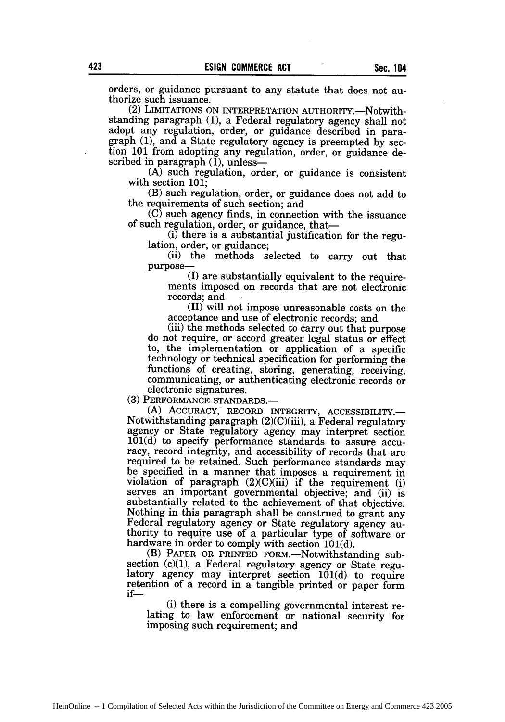orders, or guidance pursuant to any statute that does not authorize such issuance.

(2) LIMITATIONS ON INTERPRETATION AUTHORITY.-Notwithstanding paragraph (1), a Federal regulatory agency shall not graph (1), and a State regulatory agency is preempted by section 101 from adopting any regulation, order, or guidance described in paragraph (1), unless-

(A) such regulation, order, or guidance is consistent with section 101;

(B) such regulation, order, or guidance does not add to the requirements of such section; and

(C) such agency finds, in connection with the issuance of such regulation, order, or guidance, that-

(i) there is a substantial justification for the regulation, order, or guidance;

(ii) the methods selected to carry out that purpose-

(I) are substantially equivalent to the requirements imposed on records that are not electronic records; and

(II) will not impose unreasonable costs on the acceptance and use of electronic records; and

(iii) the methods selected to carry out that purpose do not require, or accord greater legal status or effect technology or technical specification for performing the functions of creating, storing, generating, receiving, communicating, or authenticating electronic records or electronic signatures.

(3) PERFORMANCE STANDARDS.-

(A) ACCURACY, RECORD INTEGRITY, ACCESSIBILITY. Notwithstanding paragraph (2)(C)(iii), a Federal regulatory agency or State regulatory agency may interpret section  $101(d)$  to specify performance standards to assure accuracy, record integrity, and accessibility of records that are required to be retained. Such performance standards may be specified in a manner that imposes a requirement in violation of paragraph  $(2)(C)(iii)$  if the requirement (i) serves an important governmental objective; and (ii) is substantially related to the achievement of that objective. Nothing in this paragraph shall be construed to grant any Federal regulatory agency or State regulatory agency authority to require use of a particular type of software or hardware in order to comply with section 101(d).

(B) PAPER OR PRINTED FORM.—Notwithstanding subsection  $(c)(1)$ , a Federal regulatory agency or State regulatory agency may interpret section  $101(d)$  to require retention of a record in a tangible printed or paper form  $if-$ 

(i) there is a compelling governmental interest relating to law enforcement or national security for imposing such requirement; and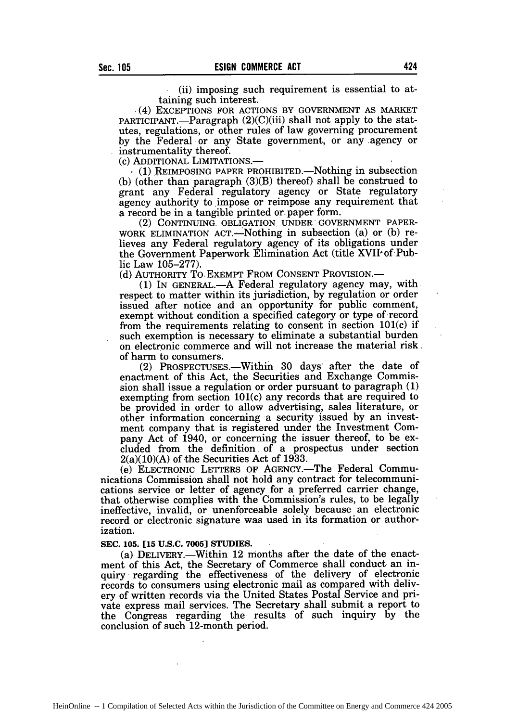(ii) imposing such requirement is essential to attaining such interest.

.(4) EXCEPTIONS FOR ACTIONS BY GOVERNMENT AS MARKET PARTICIPANT.—Paragraph  $(2)(C)(iii)$  shall not apply to the statutes, regulations, or other rules of law governing procurement by the Federal or any State government, or any agency or instrumentality thereof.

(c) ADDITIONAL LIMITATIONS.-

 $(1)$  REIMPOSING PAPER PROHIBITED.—Nothing in subsection (b) (other than paragraph (3)(B) thereof) shall be construed to grant any Federal regulatory agency or State regulatory agency authority to impose or reimpose any requirement that a record be in a tangible printed or paper form.

(2) CONTINUING OBLIGATION. UNDER GOVERNMENT PAPER-WORK ELIMINATION ACT.—Nothing in subsection (a) or (b) relieves any Federal regulatory agency of its obligations under the Government Paperwork Elimination Act (title XVII of Public Law 105-277).

(d) AUTHORITY TO EXEMPT FROM CONSENT PROVISION.-

(1) IN GENERAL.-A Federal regulatory agency may, with respect to matter within its jurisdiction, by regulation or order issued after notice and an opportunity for public comment, exempt without condition a specified category or type of record from the requirements relating to consent in section 101(c) if such exemption is necessary to eliminate a substantial burden on electronic commerce and will not increase the material risk of harm to consumers.

(2) PROSPECTUSES.-Within 30 days after the date of enactment of this Act, the Securities and Exchange Commission shall issue a regulation or order pursuant to paragraph (1) exempting from section 101(c) any records that are required to be provided in order to allow advertising, sales literature, or other information concerning a security issued by an investment company that is registered under the Investment Company Act of 1940, or concerning the issuer thereof, to be excluded from the definition of a prospectus under section  $2(a)(10)(A)$  of the Securities Act of 1933.

(e) ELECTRONIC LETTERS OF AGENCY.-The Federal Communications Commission shall not hold any contract for telecommunications service or letter of agency for a preferred carrier change, that otherwise complies with the Commission's rules, to be legally ineffective, invalid, or unenforceable solely because an electronic record or electronic signature was used in its formation or authorization.

#### **SEC. 105. [15 U.S.C. 7005] STUDIES.**

(a) DELIVERY.-Within 12 months after the date of the enactment of this Act, the Secretary of Commerce shall conduct an inquiry regarding the effectiveness of the delivery of electronic records to consumers using electronic mail as compared with delivery of written records via the United States Postal Service and private express mail services. The Secretary shall submit a report to the Congress regarding the results of such inquiry by the conclusion of such 12-month period.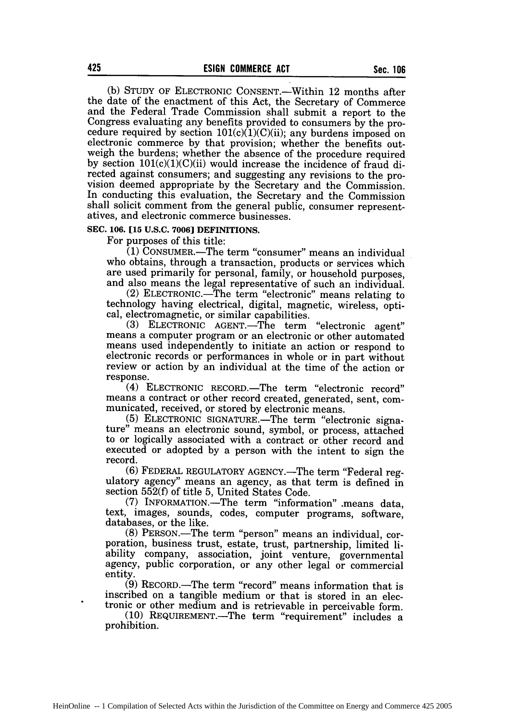(b) STUDY OF ELECTRONIC CONSENT.-Within 12 months after the date of the enactment of this Act, the Secretary of Commerce and the Federal Trade Commission shall submit a report to the Congress evaluating any benefits provided to consumers by the pro-<br>cedure required by section  $101(c)(1)(C)(ii)$ ; any burdens imposed on electronic commerce by that provision; whether the benefits outweigh the burdens; whether the absence of the procedure required by section  $101(c)(1)(C)(ii)$  would increase the incidence of fraud directed against consumers; and suggesting any revisions to the provision deemed appropriate by the Secretary and the Commission. In conducting this evaluation, the Secretary and the Commission shall solicit comment from the general public, consumer represent- atives, and electronic commerce businesses.

#### **SEC. 106. [15 U.S.C. 7006] DEFINITIONS.**

For purposes of this title:

**(1)** CONSUMER.-The term "consumer" means an individual who obtains, through a transaction, products or services which are used primarily for personal, family, or household purposes. are used primarily for personal, family, or household purposes, and also means the legal representative of such an individual.

(2) ELECTRONIC.-The term "electronic" means relating to technology having electrical, digital, magnetic, wireless, opti- cal, electromagnetic, or similar capabilities.

(3) ELECTRONIC AGENT.—The term "electronic agent" means a computer program or an electronic or other automated means used independently to initiate an action or respond to electronic records or performances in whole or in part without review or action by an individual at the time of the action or response.

(4) ELECTRONIC RECORD.-The term "electronic record" means a contract or other record created, generated, sent, communicated, received, or stored by electronic means.<br>(5) ELECTRONIC SIGNATURE.—The term "electronic signa-

ture" means an electronic sound, symbol, or process, attached to or logically associated with a contract or other record and executed or adopted by a person with the intent to sign the record.

(6) FEDERAL REGULATORY AGENCY.-The term "Federal reg- ulatory agency" means an agency, as that term is defined in section 552(f) of title 5, United States Code.

**(7)** INFORMATION.-The term "information" ,means data, text, images, sounds, codes, computer programs, software, databases, or the like.

(8) PERSON.-The term "person" means an individual, corporation, business trust, estate, trust, partnership, limited liability company, association, joint venture, governmental agency, public corporation, or any other legal or commercial

 $(9)$  RECORD.—The term "record" means information that is inscribed on a tangible medium or that is stored in an electronic or other medium and is retrievable in perceivable form.

**(10)** REQUIREMENT.-The term "requirement" includes a prohibition.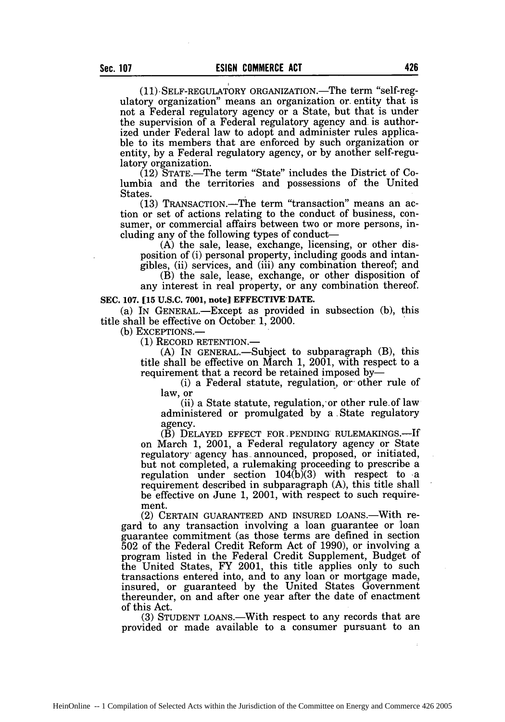(11) SELF-REGULATORY ORGANIZATION.—The term "self-regulatory organization" means an organization or. entity that is not a Federal regulatory agency or a State, but that is under the supervision of a Federal regulatory agency and. is authorized under Federal law to adopt and administer rules applicable to its members that are enforced by such organization or entity, by a Federal regulatory agency, or by another self-regulatory organization.

 $(12)$  STATE.—The term "State" includes the District of Columbia and the territories and possessions of the United States.

(13) TRANSACTION.-The term "transaction" means an action or set of actions relating to the conduct of business, consumer, or commercial affairs between two or more persons, including any of the following types of conduct-

(A) the sale, lease, exchange, licensing, or other disposition of (i) personal property, including goods and intangibles, (ii) services, and (iii) any combination thereof; and

(B) the sale, lease, exchange, or other disposition of any interest in real property, or any combination thereof.

## SEC. 107. [15 U.S.C. 7001, note] EFFECTIVE DATE.

(a) IN GENERAL.-Except as provided in subsection **(b),** this title shall be effective on October 1, 2000.

(b) EXCEPTIONS.—

**(1)** RECORD RETENTION.-

**(A)** IN GENERAL.-Subject to subparagraph (B), this title shall be effective on March 1, 2001, with respect to a requirement that a record be retained imposed by-

(i) a Federal statute, regulation, or' other rule of law, or

(ii) a State statute, regulation, or other rule.of law administered or promulgated by a -State regulatory agency.

(B) DELAYED EFFECT FOR PENDING RULEMAKINGS.-If on March 1, 2001, a Federal regulatory agency or State regulatory' agency has announced, proposed, or initiated, but not completed, a rulemaking proceeding to prescribe a regulation under section  $104(b)(3)$  with respect to a requirement described in subparagraph (A), this title shall be effective on June 1, 2001, with respect to such requirement.

(2) CERTAIN GUARANTEED AND INSURED LOANS.--With regard to any transaction involving a loan guarantee or loan guarantee commitment (as those terms are defined in section 502 of the Federal Credit Reform Act of 1990), or involving a program listed in the Federal Credit Supplement, Budget of the United States, FY 2001, this title applies only to such transactions entered into, and to any loan or mortgage made, insured, or guaranteed by the United States Government thereunder, on and after one year after the date of enactment of this Act.

**(3)** STUDENT LOANS.-With respect to any records that are provided or made available to a consumer pursuant to an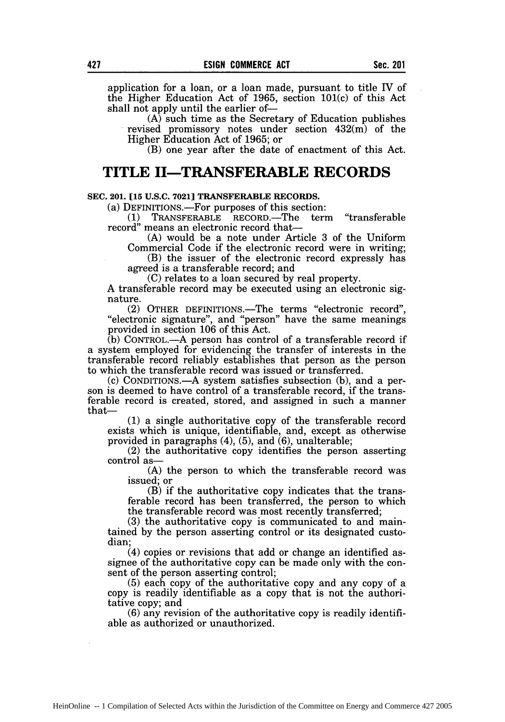application for a loan, or a loan made, pursuant to title IV of the Higher Education Act of 1965, section 101(c) of this Act shall not apply until the earlier of-

(A) such time as the Secretary of Education publishes revised promissory notes under section 432(m) of the Higher Education Act of 1965; or

(B) one year after the date of enactment of this Act.

# **TITLE I1-TRANSFERABLE RECORDS**

SEC. 201. **[15** U.S.C. 7021] TRANSFERABLE **RECORDS.**

(a) DEFINITIONS.-For purposes of this section:

(1) TRANSFERABLE RECORD.-The term "transferable record" means an electronic record that-

(A) would be a note under Article 3 of the Uniform

Commercial Code if the electronic record were in writing; (B) the issuer of the electronic record expressly has

agreed is a transferable record; and

(C) relates to a loan secured by real property.

A transferable record may be executed using an electronic signature.<br>
(2) OTHER DEFINITIONS.—The terms "electronic record",

"electronic signature", and "person" have the same meanings provided in section 106 of this Act.

 $(b)$  CONTROL.—A person has control of a transferable record if a system employed for evidencing the transfer of interests in the transferable record reliably establishes that person as the person to which the transferable record was issued or transferred.

(C) CONDITIONS.-A system satisfies subsection (b), and a person is deemed to have control of a transferable record, if the transferable record is created, stored, and assigned in such a manner that-

**(1)** a single authoritative copy of the transferable record exists which is unique, identifiable, and, except as otherwise provided in paragraphs (4), (5), and (6), unalterable;

(2) the authoritative copy identifies the person asserting control as-

(A) the person to which the transferable record was issued; or

(B) if the authoritative copy indicates that the transferable record has been transferred, the person to which the transferable record was most recently transferred;

(3) the authoritative copy is communicated to and maintained by the person asserting control or its designated custodian;

(4) copies or revisions that add or change an identified assignee of the authoritative copy can be made only with the consent of the person asserting control;

(5) each copy of the authoritative copy and any copy of a copy is readily identifiable as a copy that is not the authoritative copy; and

(6) any revision of the authoritative copy is readily identifiable as authorized or unauthorized.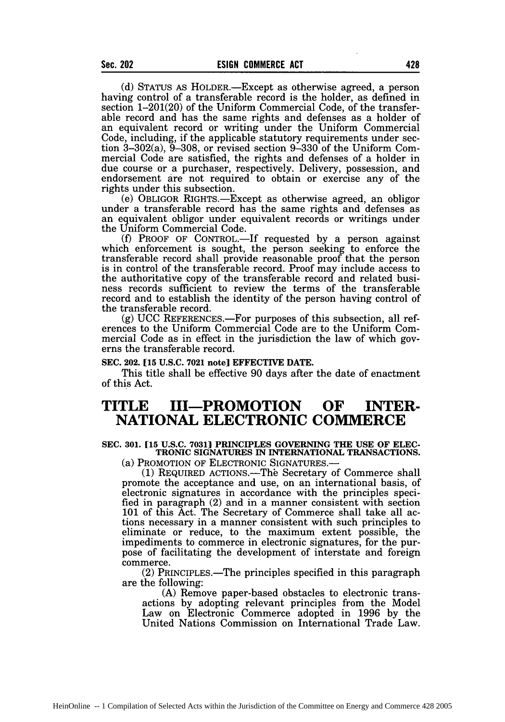(d) STATUS AS HOLDER.-Except as otherwise agreed, a person having control of a transferable record is the holder, as defined in section 1-201(20) of the Uniform Commercial Code, of the transferable record and has the same rights and defenses as a holder of an equivalent record or writing under the Uniform Commercial Code, including, if the applicable statutory requirements under section  $3-302(a)$ ,  $9-308$ , or revised section  $9-330$  of the Uniform Commercial Code are satisfied, the rights and defenses of a holder in due course or a purchaser, respectively. Delivery, possession, and endorsement are not required to obtain or exercise any of the rights under this subsection.

(e) OBLIGOR RIGHTS.-Except as otherwise agreed, an obligor under a transferable record has the same rights and defenses as an equivalent obligor under equivalent records or writings under the Uniform Commercial Code.

(f) PROOF OF CONTROL.-If requested by a person against which enforcement is sought, the person seeking to enforce the transferable record shall provide reasonable proof that the person is in control of the transferable record. Proof may include access to the authoritative copy of the transferable record and related business records sufficient to review the terms of the transferable record and to establish the identity of the person having control of the transferable record.

 $(g)$  UCC REFERENCES.—For purposes of this subsection, all references to the Uniform Commercial Code are to the Uniform Commercial Code as in effect in the jurisdiction the law of which governs the transferable record.

#### **SEC. 202. [15 U.S.C. 7021 note] EFFECTIVE DATE.**

This title shall be effective 90 days after the date of enactment of this Act.

# **TITLE III-PROMOTION OF INTER-NATIONAL ELECTRONIC COMMERCE**

## **SEC. 301. [15 U.S.C. 7031] PRINCIPLES GOVERNING THE USE OF ELEC-TRONIC SIGNATURES** IN **INTERNATIONAL TRANSACTIONS.**

(a) **PROMOTION OF ELECTRONIC SIGNATURES.-**

(1) REQUIRED ACTIONS.—The Secretary of Commerce shall promote the acceptance and use, on an international basis, of electronic signatures in accordance with the principles specified in paragraph (2) and in a manner consistent with section **101** of this Act. The Secretary of Commerce shall take all actions necessary in a manner consistent with such principles to eliminate or reduce, to the maximum extent possible, the impediments to commerce in electronic signatures, for the purpose of facilitating the development of interstate and foreign commerce.

(2) PRINCIPLES.—The principles specified in this paragraph are the following:

(A) Remove paper-based obstacles to electronic transactions by adopting relevant principles from the Model Law on Electronic Commerce adopted in 1996 by the United Nations Commission on International Trade Law.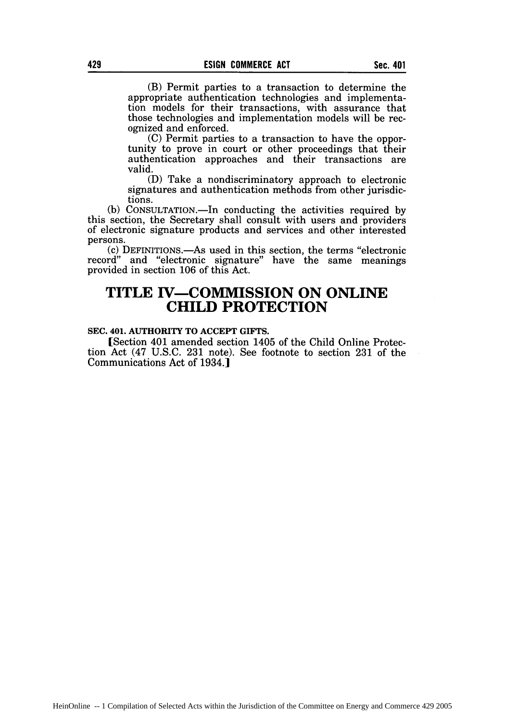(B) Permit parties to a transaction to determine the appropriate authentication technologies and implementation models for their transactions, with assurance that those technologies and implementation models will be recognized and enforced.

(C) Permit parties to a transaction to have the opportunity to prove in court or other proceedings that their authentication approaches and their transactions are valid.

(D) Take a nondiscriminatory approach to electronic signatures and authentication methods from other jurisdic-

tions.<br>(b) CONSULTATION.—In conducting the activities required by this section, the Secretary shall consult with users and providers of electronic signature products and services and other interested persons.

(c) DEFINITIONS.-As used in this section, the terms "electronic record" and "electronic signature" have the same meanings provided in section 106 of this Act.

# **TITLE IV-COMMISSION ON ONLINE CHILD PROTECTION**

## **SEC. 401. AUTHORITY TO ACCEPT GIFTS.**

[Section 401 amended section 1405 of the Child Online Protection Act (47 **U.S.C. 231** note). See footnote to section **231** of the Communications Act of 1934.]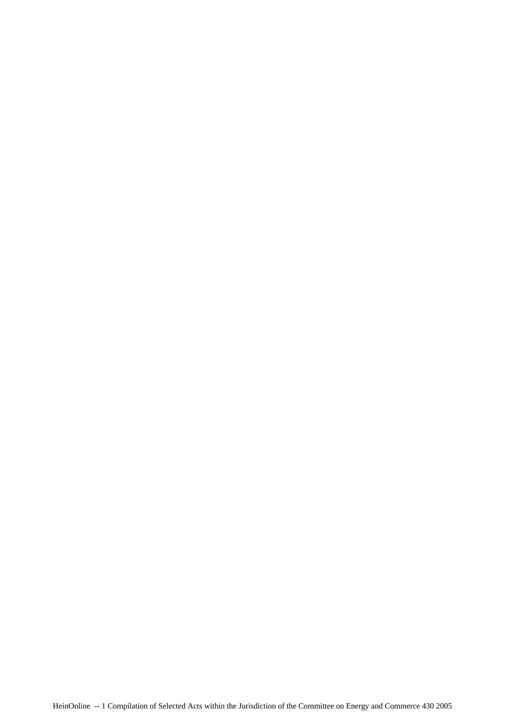HeinOnline -- 1 Compilation of Selected Acts within the Jurisdiction of the Committee on Energy and Commerce 430 2005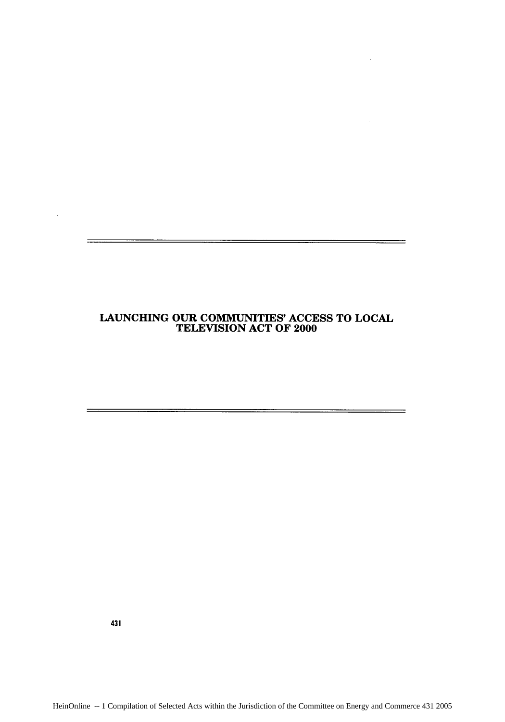## **LAUNCHING** OUR COMMUNITIES' ACCESS TO **LOCAL** TELEVISION **ACT** OF 2000

<u>.</u>

the control of the control of the control of

— **—** 

431